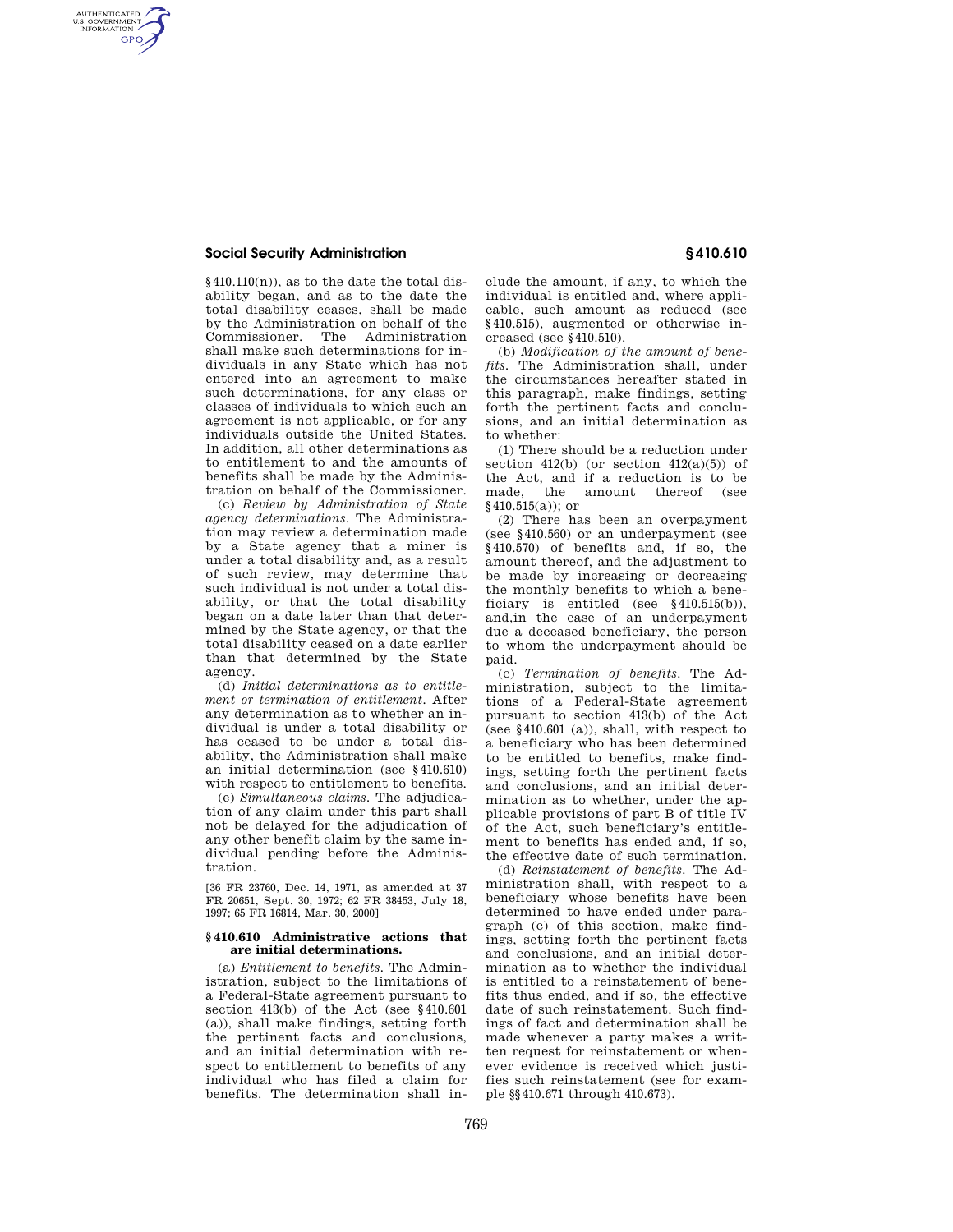## **Social Security Administration § 410.610**

AUTHENTICATED<br>U.S. GOVERNMENT<br>INFORMATION **GPO** 

> $§410.110(n)$ , as to the date the total disability began, and as to the date the total disability ceases, shall be made by the Administration on behalf of the Commissioner. The Administration shall make such determinations for individuals in any State which has not entered into an agreement to make such determinations, for any class or classes of individuals to which such an agreement is not applicable, or for any individuals outside the United States. In addition, all other determinations as to entitlement to and the amounts of benefits shall be made by the Administration on behalf of the Commissioner.

> (c) *Review by Administration of State agency determinations.* The Administration may review a determination made by a State agency that a miner is under a total disability and, as a result of such review, may determine that such individual is not under a total disability, or that the total disability began on a date later than that determined by the State agency, or that the total disability ceased on a date earlier than that determined by the State agency.

> (d) *Initial determinations as to entitlement or termination of entitlement.* After any determination as to whether an individual is under a total disability or has ceased to be under a total disability, the Administration shall make an initial determination (see §410.610) with respect to entitlement to benefits.

> (e) *Simultaneous claims.* The adjudication of any claim under this part shall not be delayed for the adjudication of any other benefit claim by the same individual pending before the Administration.

> [36 FR 23760, Dec. 14, 1971, as amended at 37 FR 20651, Sept. 30, 1972; 62 FR 38453, July 18, 1997; 65 FR 16814, Mar. 30, 2000]

## **§ 410.610 Administrative actions that are initial determinations.**

(a) *Entitlement to benefits.* The Administration, subject to the limitations of a Federal-State agreement pursuant to section 413(b) of the Act (see §410.601 (a)), shall make findings, setting forth the pertinent facts and conclusions, and an initial determination with respect to entitlement to benefits of any individual who has filed a claim for benefits. The determination shall in-

clude the amount, if any, to which the individual is entitled and, where applicable, such amount as reduced (see §410.515), augmented or otherwise increased (see §410.510).

(b) *Modification of the amount of benefits.* The Administration shall, under the circumstances hereafter stated in this paragraph, make findings, setting forth the pertinent facts and conclusions, and an initial determination as to whether:

(1) There should be a reduction under section  $412(b)$  (or section  $412(a)(5)$ ) of the Act, and if a reduction is to be made, the amount thereof (see §410.515(a)); or

(2) There has been an overpayment (see §410.560) or an underpayment (see §410.570) of benefits and, if so, the amount thereof, and the adjustment to be made by increasing or decreasing the monthly benefits to which a beneficiary is entitled (see §410.515(b)), and,in the case of an underpayment due a deceased beneficiary, the person to whom the underpayment should be paid.

(c) *Termination of benefits.* The Administration, subject to the limitations of a Federal-State agreement pursuant to section 413(b) of the Act (see §410.601 (a)), shall, with respect to a beneficiary who has been determined to be entitled to benefits, make findings, setting forth the pertinent facts and conclusions, and an initial determination as to whether, under the applicable provisions of part B of title IV of the Act, such beneficiary's entitlement to benefits has ended and, if so, the effective date of such termination.

(d) *Reinstatement of benefits.* The Administration shall, with respect to a beneficiary whose benefits have been determined to have ended under paragraph (c) of this section, make findings, setting forth the pertinent facts and conclusions, and an initial determination as to whether the individual is entitled to a reinstatement of benefits thus ended, and if so, the effective date of such reinstatement. Such findings of fact and determination shall be made whenever a party makes a written request for reinstatement or whenever evidence is received which justifies such reinstatement (see for example §§410.671 through 410.673).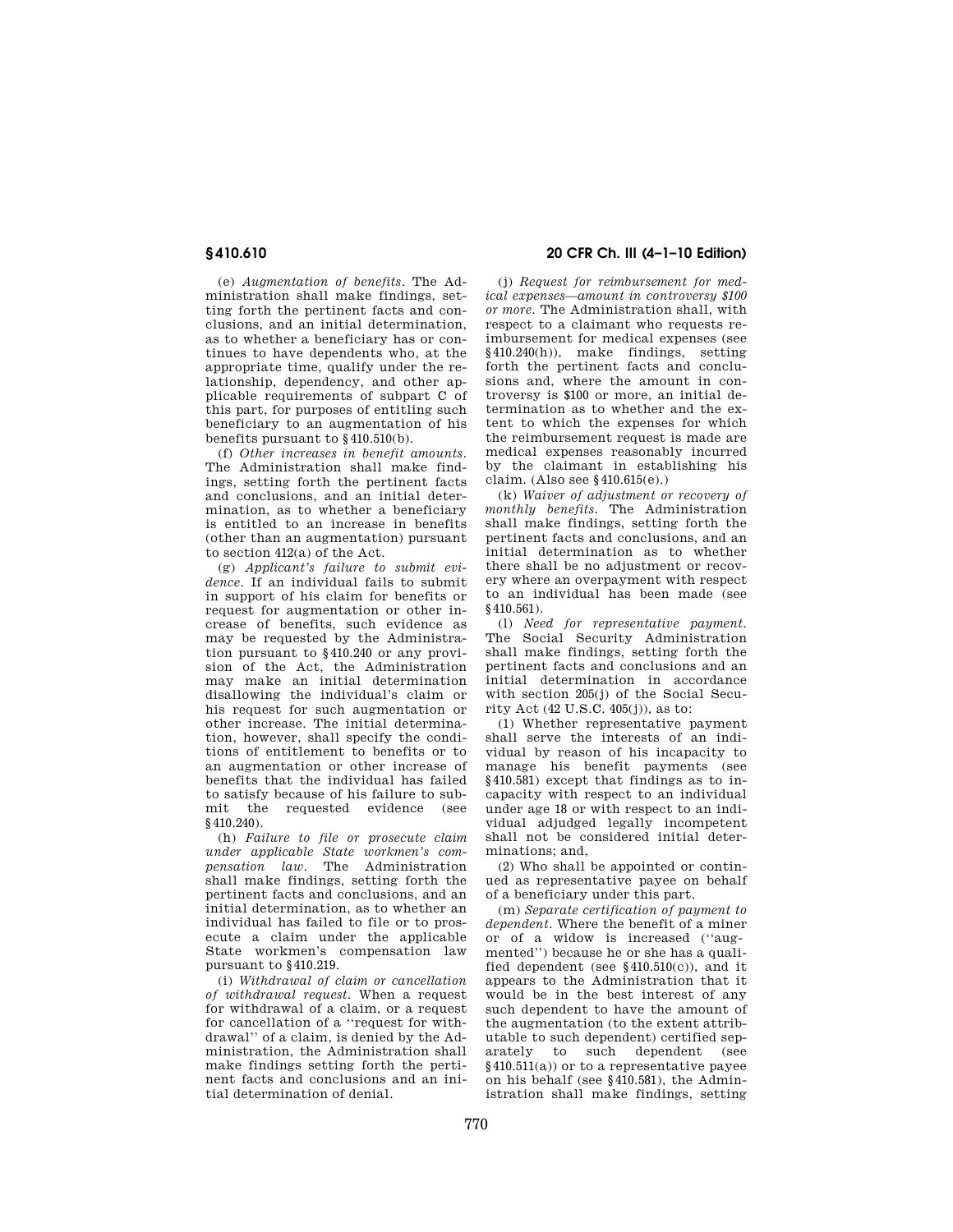(e) *Augmentation of benefits.* The Administration shall make findings, setting forth the pertinent facts and conclusions, and an initial determination, as to whether a beneficiary has or continues to have dependents who, at the appropriate time, qualify under the relationship, dependency, and other applicable requirements of subpart C of this part, for purposes of entitling such beneficiary to an augmentation of his benefits pursuant to §410.510(b).

(f) *Other increases in benefit amounts.*  The Administration shall make findings, setting forth the pertinent facts and conclusions, and an initial determination, as to whether a beneficiary is entitled to an increase in benefits (other than an augmentation) pursuant to section 412(a) of the Act.

(g) *Applicant's failure to submit evidence.* If an individual fails to submit in support of his claim for benefits or request for augmentation or other increase of benefits, such evidence as may be requested by the Administration pursuant to §410.240 or any provision of the Act, the Administration may make an initial determination disallowing the individual's claim or his request for such augmentation or other increase. The initial determination, however, shall specify the conditions of entitlement to benefits or to an augmentation or other increase of benefits that the individual has failed to satisfy because of his failure to submit the requested evidence (see §410.240).

(h) *Failure to file or prosecute claim under applicable State workmen's compensation law.* The Administration shall make findings, setting forth the pertinent facts and conclusions, and an initial determination, as to whether an individual has failed to file or to prosecute a claim under the applicable State workmen's compensation law pursuant to §410.219.

(i) *Withdrawal of claim or cancellation of withdrawal request.* When a request for withdrawal of a claim, or a request for cancellation of a ''request for withdrawal'' of a claim, is denied by the Administration, the Administration shall make findings setting forth the pertinent facts and conclusions and an initial determination of denial.

# **§ 410.610 20 CFR Ch. III (4–1–10 Edition)**

(j) *Request for reimbursement for medical expenses—amount in controversy \$100 or more.* The Administration shall, with respect to a claimant who requests reimbursement for medical expenses (see §410.240(h)), make findings, setting forth the pertinent facts and conclusions and, where the amount in controversy is \$100 or more, an initial determination as to whether and the extent to which the expenses for which the reimbursement request is made are medical expenses reasonably incurred by the claimant in establishing his claim. (Also see §410.615(e).)

(k) *Waiver of adjustment or recovery of monthly benefits.* The Administration shall make findings, setting forth the pertinent facts and conclusions, and an initial determination as to whether there shall be no adjustment or recovery where an overpayment with respect to an individual has been made (see §410.561).

(l) *Need for representative payment.*  The Social Security Administration shall make findings, setting forth the pertinent facts and conclusions and an initial determination in accordance with section 205(j) of the Social Security Act (42 U.S.C. 405(j)), as to:

(1) Whether representative payment shall serve the interests of an individual by reason of his incapacity to manage his benefit payments (see §410.581) except that findings as to incapacity with respect to an individual under age 18 or with respect to an individual adjudged legally incompetent shall not be considered initial determinations; and,

(2) Who shall be appointed or continued as representative payee on behalf of a beneficiary under this part.

(m) *Separate certification of payment to dependent.* Where the benefit of a miner or of a widow is increased (''augmented'') because he or she has a qualified dependent (see §410.510(c)), and it appears to the Administration that it would be in the best interest of any such dependent to have the amount of the augmentation (to the extent attributable to such dependent) certified separately to such dependent (see §410.511(a)) or to a representative payee on his behalf (see §410.581), the Administration shall make findings, setting